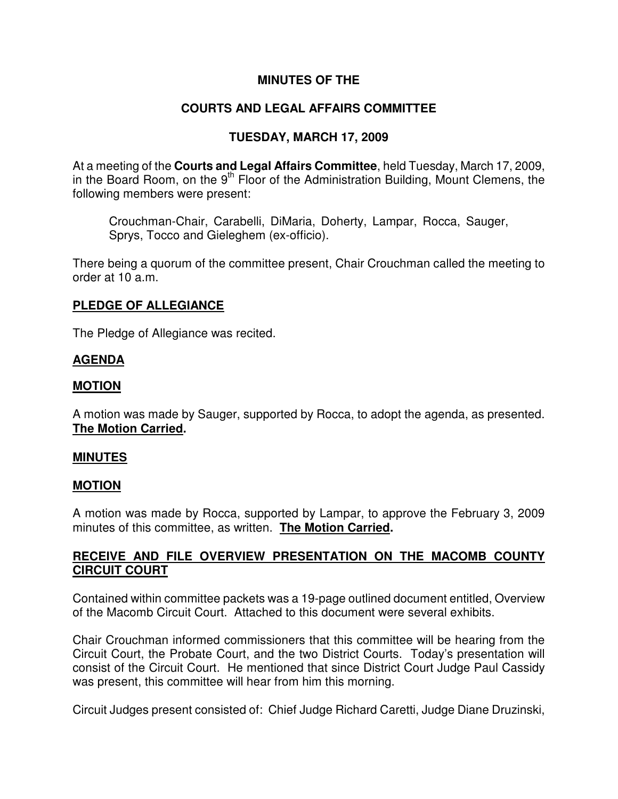# **MINUTES OF THE**

# **COURTS AND LEGAL AFFAIRS COMMITTEE**

# **TUESDAY, MARCH 17, 2009**

At a meeting of the **Courts and Legal Affairs Committee**, held Tuesday, March 17, 2009, in the Board Room, on the  $9<sup>th</sup>$  Floor of the Administration Building, Mount Clemens, the following members were present:

Crouchman-Chair, Carabelli, DiMaria, Doherty, Lampar, Rocca, Sauger, Sprys, Tocco and Gieleghem (ex-officio).

There being a quorum of the committee present, Chair Crouchman called the meeting to order at 10 a.m.

### **PLEDGE OF ALLEGIANCE**

The Pledge of Allegiance was recited.

# **AGENDA**

#### **MOTION**

A motion was made by Sauger, supported by Rocca, to adopt the agenda, as presented. **The Motion Carried.** 

#### **MINUTES**

#### **MOTION**

A motion was made by Rocca, supported by Lampar, to approve the February 3, 2009 minutes of this committee, as written. **The Motion Carried.** 

# **RECEIVE AND FILE OVERVIEW PRESENTATION ON THE MACOMB COUNTY CIRCUIT COURT**

Contained within committee packets was a 19-page outlined document entitled, Overview of the Macomb Circuit Court. Attached to this document were several exhibits.

Chair Crouchman informed commissioners that this committee will be hearing from the Circuit Court, the Probate Court, and the two District Courts. Today's presentation will consist of the Circuit Court. He mentioned that since District Court Judge Paul Cassidy was present, this committee will hear from him this morning.

Circuit Judges present consisted of: Chief Judge Richard Caretti, Judge Diane Druzinski,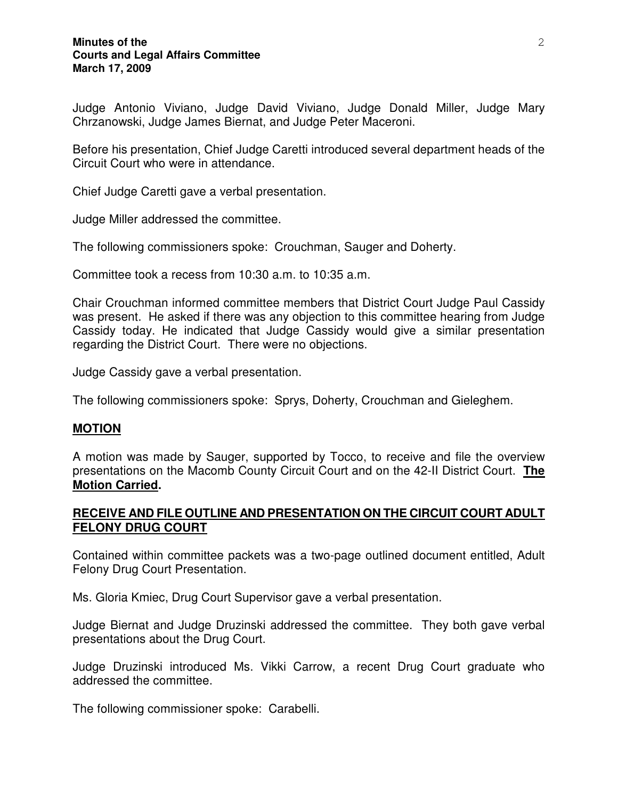#### **Minutes of the Courts and Legal Affairs Committee March 17, 2009**

Judge Antonio Viviano, Judge David Viviano, Judge Donald Miller, Judge Mary Chrzanowski, Judge James Biernat, and Judge Peter Maceroni.

Before his presentation, Chief Judge Caretti introduced several department heads of the Circuit Court who were in attendance.

Chief Judge Caretti gave a verbal presentation.

Judge Miller addressed the committee.

The following commissioners spoke: Crouchman, Sauger and Doherty.

Committee took a recess from 10:30 a.m. to 10:35 a.m.

Chair Crouchman informed committee members that District Court Judge Paul Cassidy was present. He asked if there was any objection to this committee hearing from Judge Cassidy today. He indicated that Judge Cassidy would give a similar presentation regarding the District Court. There were no objections.

Judge Cassidy gave a verbal presentation.

The following commissioners spoke: Sprys, Doherty, Crouchman and Gieleghem.

#### **MOTION**

A motion was made by Sauger, supported by Tocco, to receive and file the overview presentations on the Macomb County Circuit Court and on the 42-II District Court. **The Motion Carried.** 

#### **RECEIVE AND FILE OUTLINE AND PRESENTATION ON THE CIRCUIT COURT ADULT FELONY DRUG COURT**

Contained within committee packets was a two-page outlined document entitled, Adult Felony Drug Court Presentation.

Ms. Gloria Kmiec, Drug Court Supervisor gave a verbal presentation.

Judge Biernat and Judge Druzinski addressed the committee. They both gave verbal presentations about the Drug Court.

Judge Druzinski introduced Ms. Vikki Carrow, a recent Drug Court graduate who addressed the committee.

The following commissioner spoke: Carabelli.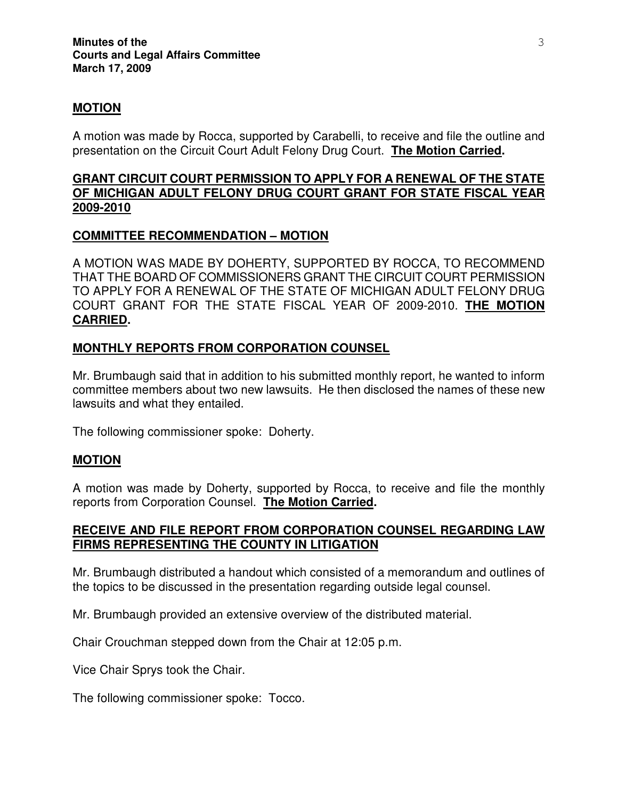### **MOTION**

A motion was made by Rocca, supported by Carabelli, to receive and file the outline and presentation on the Circuit Court Adult Felony Drug Court. **The Motion Carried.** 

### **GRANT CIRCUIT COURT PERMISSION TO APPLY FOR A RENEWAL OF THE STATE OF MICHIGAN ADULT FELONY DRUG COURT GRANT FOR STATE FISCAL YEAR 2009-2010**

### **COMMITTEE RECOMMENDATION – MOTION**

A MOTION WAS MADE BY DOHERTY, SUPPORTED BY ROCCA, TO RECOMMEND THAT THE BOARD OF COMMISSIONERS GRANT THE CIRCUIT COURT PERMISSION TO APPLY FOR A RENEWAL OF THE STATE OF MICHIGAN ADULT FELONY DRUG COURT GRANT FOR THE STATE FISCAL YEAR OF 2009-2010. **THE MOTION CARRIED.** 

### **MONTHLY REPORTS FROM CORPORATION COUNSEL**

Mr. Brumbaugh said that in addition to his submitted monthly report, he wanted to inform committee members about two new lawsuits. He then disclosed the names of these new lawsuits and what they entailed.

The following commissioner spoke: Doherty.

#### **MOTION**

A motion was made by Doherty, supported by Rocca, to receive and file the monthly reports from Corporation Counsel. **The Motion Carried.** 

# **RECEIVE AND FILE REPORT FROM CORPORATION COUNSEL REGARDING LAW FIRMS REPRESENTING THE COUNTY IN LITIGATION**

Mr. Brumbaugh distributed a handout which consisted of a memorandum and outlines of the topics to be discussed in the presentation regarding outside legal counsel.

Mr. Brumbaugh provided an extensive overview of the distributed material.

Chair Crouchman stepped down from the Chair at 12:05 p.m.

Vice Chair Sprys took the Chair.

The following commissioner spoke: Tocco.